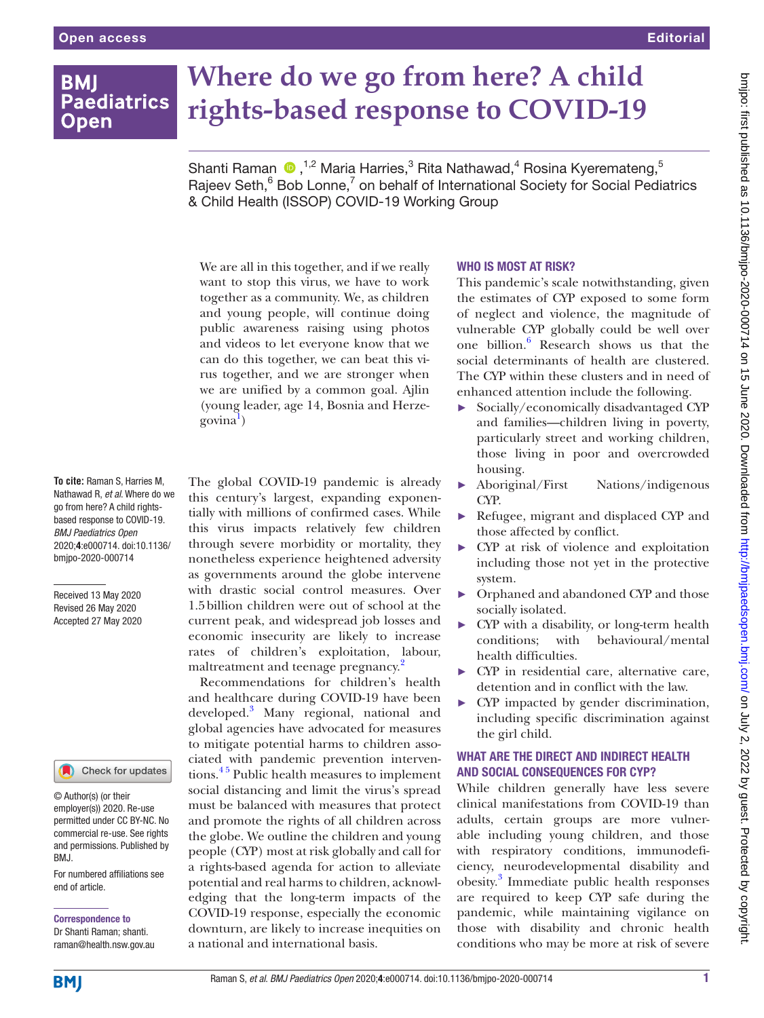**BMI** 

**Open** 

# **Where do we go from here? A child Paediatrics rights-based response to COVID-19**

ShantiRaman  $\bigcirc$ ,<sup>1,2</sup> Maria Harries,<sup>3</sup> Rita Nathawad,<sup>4</sup> Rosina Kyeremateng,<sup>5</sup> Rajeev Seth,<sup>6</sup> Bob Lonne,<sup>7</sup> on behalf of International Society for Social Pediatrics & Child Health (ISSOP) COVID-19 Working Group We are all in this together, and if we really

want to stop this virus, we have to work together as a community. We, as children and young people, will continue doing public awareness raising using photos and videos to let everyone know that we can do this together, we can beat this virus together, and we are stronger when we are unified by a common goal. Ajlin (young leader, age 14, Bosnia and Herze-govina<sup>[1](#page-2-0)</sup>)

**To cite:** Raman S, Harries M, Nathawad R, *et al*. Where do we go from here? A child rightsbased response to COVID-19. *BMJ Paediatrics Open* 2020;4:e000714. doi:10.1136/ bmjpo-2020-000714

Received 13 May 2020 Revised 26 May 2020 Accepted 27 May 2020

### Check for updates

© Author(s) (or their employer(s)) 2020. Re-use permitted under CC BY-NC. No commercial re-use. See rights and permissions. Published by BMJ.

For numbered affiliations see end of article.

Correspondence to Dr Shanti Raman; shanti. raman@health.nsw.gov.au The global COVID-19 pandemic is already this century's largest, expanding exponentially with millions of confirmed cases. While this virus impacts relatively few children through severe morbidity or mortality, they nonetheless experience heightened adversity as governments around the globe intervene with drastic social control measures. Over 1.5billion children were out of school at the current peak, and widespread job losses and economic insecurity are likely to increase rates of children's exploitation, labour, maltreatment and teenage pregnancy.<sup>[2](#page-2-1)</sup>

Recommendations for children's health and healthcare during COVID-19 have been developed.<sup>[3](#page-2-2)</sup> Many regional, national and global agencies have advocated for measures to mitigate potential harms to children associated with pandemic prevention interventions.<sup>45</sup> Public health measures to implement social distancing and limit the virus's spread must be balanced with measures that protect and promote the rights of all children across the globe. We outline the children and young people (CYP) most at risk globally and call for a rights-based agenda for action to alleviate potential and real harms to children, acknowledging that the long-term impacts of the COVID-19 response, especially the economic downturn, are likely to increase inequities on a national and international basis.

#### WHO IS MOST AT RISK?

This pandemic's scale notwithstanding, given the estimates of CYP exposed to some form of neglect and violence, the magnitude of vulnerable CYP globally could be well over one billion.<sup>[6](#page-3-1)</sup> Research shows us that the social determinants of health are clustered. The CYP within these clusters and in need of enhanced attention include the following.

- ► Socially/economically disadvantaged CYP and families—children living in poverty, particularly street and working children, those living in poor and overcrowded housing.
- Aboriginal/First Nations/indigenous CYP.
- ► Refugee, migrant and displaced CYP and those affected by conflict.
- ► CYP at risk of violence and exploitation including those not yet in the protective system.
- ► Orphaned and abandoned CYP and those socially isolated.
- ► CYP with a disability, or long-term health conditions; with behavioural/mental health difficulties.
- ► CYP in residential care, alternative care, detention and in conflict with the law.
- ► CYP impacted by gender discrimination, including specific discrimination against the girl child.

# WHAT ARE THE DIRECT AND INDIRECT HEALTH and social consequences for CYP?

While children generally have less severe clinical manifestations from COVID-19 than adults, certain groups are more vulnerable including young children, and those with respiratory conditions, immunodeficiency, neurodevelopmental disability and obesity.<sup>3</sup> Immediate public health responses are required to keep CYP safe during the pandemic, while maintaining vigilance on those with disability and chronic health conditions who may be more at risk of severe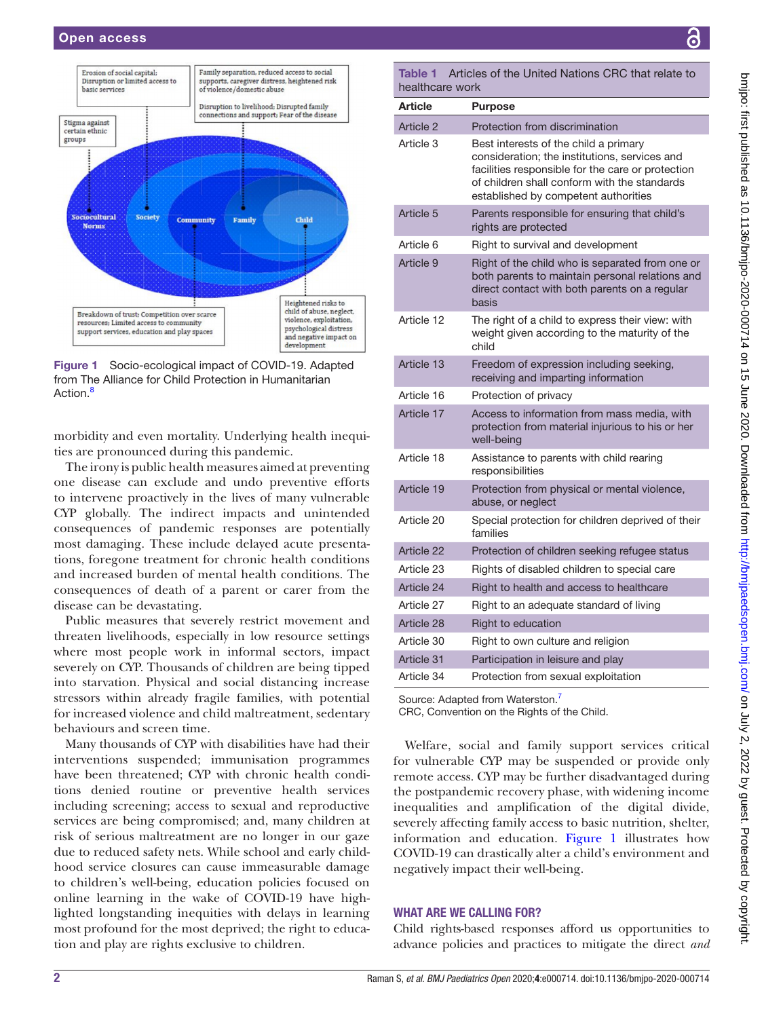

<span id="page-1-0"></span>Figure 1 Socio-ecological impact of COVID-19. Adapted from The Alliance for Child Protection in Humanitarian Action.<sup>8</sup>

morbidity and even mortality. Underlying health inequities are pronounced during this pandemic.

The irony is public health measures aimed at preventing one disease can exclude and undo preventive efforts to intervene proactively in the lives of many vulnerable CYP globally. The indirect impacts and unintended consequences of pandemic responses are potentially most damaging. These include delayed acute presentations, foregone treatment for chronic health conditions and increased burden of mental health conditions. The consequences of death of a parent or carer from the disease can be devastating.

Public measures that severely restrict movement and threaten livelihoods, especially in low resource settings where most people work in informal sectors, impact severely on CYP. Thousands of children are being tipped into starvation. Physical and social distancing increase stressors within already fragile families, with potential for increased violence and child maltreatment, sedentary behaviours and screen time.

Many thousands of CYP with disabilities have had their interventions suspended; immunisation programmes have been threatened; CYP with chronic health conditions denied routine or preventive health services including screening; access to sexual and reproductive services are being compromised; and, many children at risk of serious maltreatment are no longer in our gaze due to reduced safety nets. While school and early childhood service closures can cause immeasurable damage to children's well-being, education policies focused on online learning in the wake of COVID-19 have highlighted longstanding inequities with delays in learning most profound for the most deprived; the right to education and play are rights exclusive to children.

<span id="page-1-1"></span>Table 1 Articles of the United Nations CRC that relate to healthcare work

|  | <b>Article</b> | <b>Purpose</b>                                                                                                                                                                                                                      |
|--|----------------|-------------------------------------------------------------------------------------------------------------------------------------------------------------------------------------------------------------------------------------|
|  | Article 2      | Protection from discrimination                                                                                                                                                                                                      |
|  | Article 3      | Best interests of the child a primary<br>consideration; the institutions, services and<br>facilities responsible for the care or protection<br>of children shall conform with the standards<br>established by competent authorities |
|  | Article 5      | Parents responsible for ensuring that child's<br>rights are protected                                                                                                                                                               |
|  | Article 6      | Right to survival and development                                                                                                                                                                                                   |
|  | Article 9      | Right of the child who is separated from one or<br>both parents to maintain personal relations and<br>direct contact with both parents on a regular<br>basis                                                                        |
|  | Article 12     | The right of a child to express their view: with<br>weight given according to the maturity of the<br>child                                                                                                                          |
|  | Article 13     | Freedom of expression including seeking,<br>receiving and imparting information                                                                                                                                                     |
|  | Article 16     | Protection of privacy                                                                                                                                                                                                               |
|  | Article 17     | Access to information from mass media, with<br>protection from material injurious to his or her<br>well-being                                                                                                                       |
|  | Article 18     | Assistance to parents with child rearing<br>responsibilities                                                                                                                                                                        |
|  | Article 19     | Protection from physical or mental violence,<br>abuse, or neglect                                                                                                                                                                   |
|  | Article 20     | Special protection for children deprived of their<br>families                                                                                                                                                                       |
|  | Article 22     | Protection of children seeking refugee status                                                                                                                                                                                       |
|  | Article 23     | Rights of disabled children to special care                                                                                                                                                                                         |
|  | Article 24     | Right to health and access to healthcare                                                                                                                                                                                            |
|  | Article 27     | Right to an adequate standard of living                                                                                                                                                                                             |
|  | Article 28     | Right to education                                                                                                                                                                                                                  |
|  | Article 30     | Right to own culture and religion                                                                                                                                                                                                   |
|  | Article 31     | Participation in leisure and play                                                                                                                                                                                                   |
|  | Article 34     | Protection from sexual exploitation                                                                                                                                                                                                 |

Source: Adapted from Waterston.<sup>7</sup>

CRC, Convention on the Rights of the Child.

Welfare, social and family support services critical for vulnerable CYP may be suspended or provide only remote access. CYP may be further disadvantaged during the postpandemic recovery phase, with widening income inequalities and amplification of the digital divide, severely affecting family access to basic nutrition, shelter, information and education. [Figure](#page-1-0) 1 illustrates how COVID-19 can drastically alter a child's environment and negatively impact their well-being.

## WHAT ARE WE CALLING FOR?

Child rights-based responses afford us opportunities to advance policies and practices to mitigate the direct *and*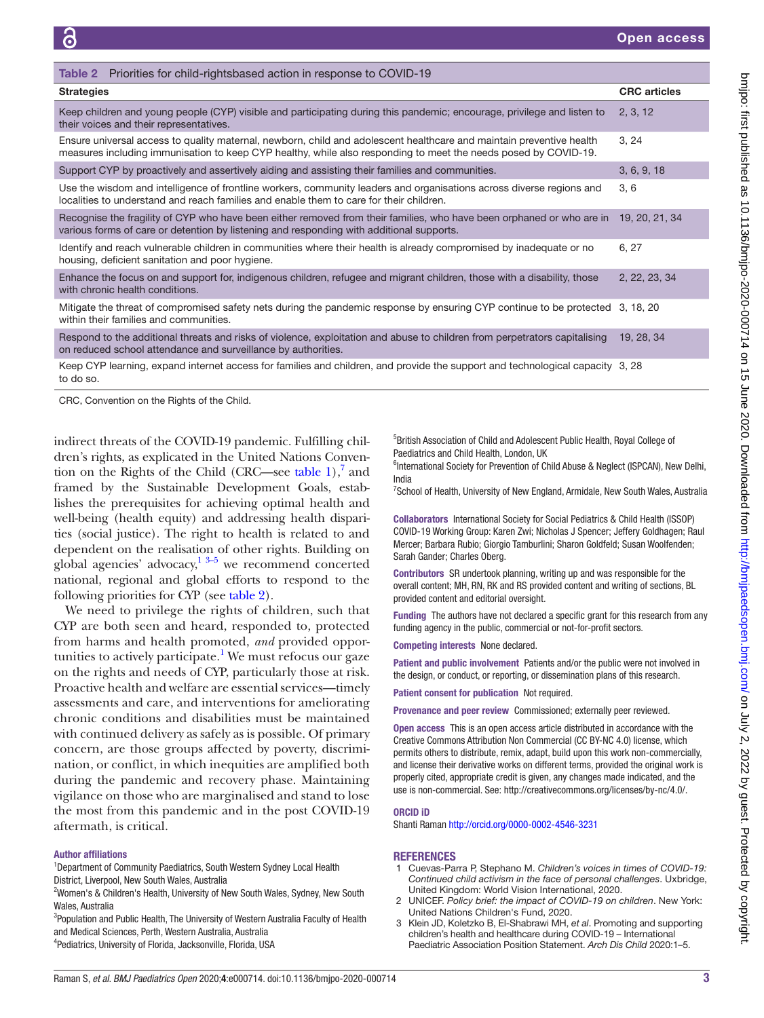<span id="page-2-3"></span>

| Priorities for child-rightsbased action in response to COVID-19<br>Table 2                                                                                                                                                              |                     |  |
|-----------------------------------------------------------------------------------------------------------------------------------------------------------------------------------------------------------------------------------------|---------------------|--|
| <b>Strategies</b>                                                                                                                                                                                                                       | <b>CRC</b> articles |  |
| Keep children and young people (CYP) visible and participating during this pandemic; encourage, privilege and listen to<br>their voices and their representatives.                                                                      |                     |  |
| Ensure universal access to quality maternal, newborn, child and adolescent healthcare and maintain preventive health<br>measures including immunisation to keep CYP healthy, while also responding to meet the needs posed by COVID-19. | 3, 24               |  |
| Support CYP by proactively and assertively aiding and assisting their families and communities.                                                                                                                                         | 3, 6, 9, 18         |  |
| Use the wisdom and intelligence of frontline workers, community leaders and organisations across diverse regions and<br>localities to understand and reach families and enable them to care for their children.                         | 3, 6                |  |
| Recognise the fragility of CYP who have been either removed from their families, who have been orphaned or who are in<br>various forms of care or detention by listening and responding with additional supports.                       | 19, 20, 21, 34      |  |
| Identify and reach vulnerable children in communities where their health is already compromised by inadequate or no<br>housing, deficient sanitation and poor hygiene.                                                                  | 6, 27               |  |
| Enhance the focus on and support for, indigenous children, refugee and migrant children, those with a disability, those<br>with chronic health conditions.                                                                              | 2, 22, 23, 34       |  |
| Mitigate the threat of compromised safety nets during the pandemic response by ensuring CYP continue to be protected 3, 18, 20<br>within their families and communities.                                                                |                     |  |
| Respond to the additional threats and risks of violence, exploitation and abuse to children from perpetrators capitalising<br>on reduced school attendance and surveillance by authorities.                                             | 19, 28, 34          |  |
| Keep CYP learning, expand internet access for families and children, and provide the support and technological capacity 3, 28<br>to do so.                                                                                              |                     |  |

CRC, Convention on the Rights of the Child.

indirect threats of the COVID-19 pandemic. Fulfilling children's rights, as explicated in the United Nations Convention on the Rights of the Child (CRC—see [table](#page-1-1)  $1$ ),<sup>7</sup> and framed by the Sustainable Development Goals, establishes the prerequisites for achieving optimal health and well-being (health equity) and addressing health disparities (social justice). The right to health is related to and dependent on the realisation of other rights. Building on global agencies' advocacy, $\frac{13-5}{3}$  we recommend concerted national, regional and global efforts to respond to the following priorities for CYP (see [table](#page-2-3) 2).

We need to privilege the rights of children, such that CYP are both seen and heard, responded to, protected from harms and health promoted, *and* provided oppor-tunities to actively participate.<sup>[1](#page-2-0)</sup> We must refocus our gaze on the rights and needs of CYP, particularly those at risk. Proactive health and welfare are essential services—timely assessments and care, and interventions for ameliorating chronic conditions and disabilities must be maintained with continued delivery as safely as is possible. Of primary concern, are those groups affected by poverty, discrimination, or conflict, in which inequities are amplified both during the pandemic and recovery phase. Maintaining vigilance on those who are marginalised and stand to lose the most from this pandemic and in the post COVID-19 aftermath, is critical.

#### Author affiliations

<sup>1</sup>Department of Community Paediatrics, South Western Sydney Local Health District, Liverpool, New South Wales, Australia

<sup>2</sup>Women's & Children's Health, University of New South Wales, Sydney, New South Wales, Australia

<sup>3</sup>Population and Public Health, The University of Western Australia Faculty of Health and Medical Sciences, Perth, Western Australia, Australia

4 Pediatrics, University of Florida, Jacksonville, Florida, USA

5 British Association of Child and Adolescent Public Health, Royal College of Paediatrics and Child Health, London, UK

<sup>6</sup>International Society for Prevention of Child Abuse & Neglect (ISPCAN), New Delhi, India

<sup>7</sup>School of Health, University of New England, Armidale, New South Wales, Australia

Collaborators International Society for Social Pediatrics & Child Health (ISSOP) COVID-19 Working Group: Karen Zwi; Nicholas J Spencer; Jeffery Goldhagen; Raul Mercer; Barbara Rubio; Giorgio Tamburlini; Sharon Goldfeld; Susan Woolfenden; Sarah Gander; Charles Oberg.

Contributors SR undertook planning, writing up and was responsible for the overall content; MH, RN, RK and RS provided content and writing of sections, BL provided content and editorial oversight.

Funding The authors have not declared a specific grant for this research from any funding agency in the public, commercial or not-for-profit sectors.

Competing interests None declared.

Patient and public involvement Patients and/or the public were not involved in the design, or conduct, or reporting, or dissemination plans of this research.

Patient consent for publication Not required.

Provenance and peer review Commissioned; externally peer reviewed.

Open access This is an open access article distributed in accordance with the Creative Commons Attribution Non Commercial (CC BY-NC 4.0) license, which permits others to distribute, remix, adapt, build upon this work non-commercially, and license their derivative works on different terms, provided the original work is properly cited, appropriate credit is given, any changes made indicated, and the use is non-commercial. See:<http://creativecommons.org/licenses/by-nc/4.0/>.

#### ORCID iD

Shanti Raman<http://orcid.org/0000-0002-4546-3231>

#### **REFERENCES**

- <span id="page-2-0"></span>1 Cuevas-Parra P, Stephano M. *Children's voices in times of COVID-19: Continued child activism in the face of personal challenges*. Uxbridge, United Kingdom: World Vision International, 2020.
- <span id="page-2-1"></span>2 UNICEF. *Policy brief: the impact of COVID-19 on children*. New York: United Nations Children's Fund, 2020.
- <span id="page-2-2"></span>3 Klein JD, Koletzko B, El-Shabrawi MH, *et al*. Promoting and supporting children's health and healthcare during COVID-19 – International Paediatric Association Position Statement. *Arch Dis Child* 2020:1–5.